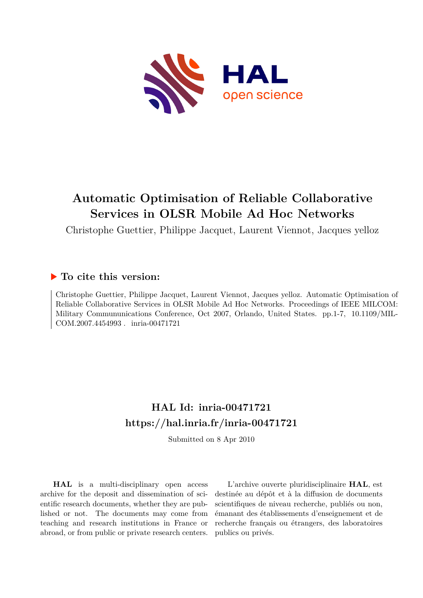

## **Automatic Optimisation of Reliable Collaborative Services in OLSR Mobile Ad Hoc Networks**

Christophe Guettier, Philippe Jacquet, Laurent Viennot, Jacques yelloz

### **To cite this version:**

Christophe Guettier, Philippe Jacquet, Laurent Viennot, Jacques yelloz. Automatic Optimisation of Reliable Collaborative Services in OLSR Mobile Ad Hoc Networks. Proceedings of IEEE MILCOM: Military Commununications Conference, Oct 2007, Orlando, United States. pp.1-7, 10.1109/MIL-COM.2007.4454993. inria-00471721

## **HAL Id: inria-00471721 <https://hal.inria.fr/inria-00471721>**

Submitted on 8 Apr 2010

**HAL** is a multi-disciplinary open access archive for the deposit and dissemination of scientific research documents, whether they are published or not. The documents may come from teaching and research institutions in France or abroad, or from public or private research centers.

L'archive ouverte pluridisciplinaire **HAL**, est destinée au dépôt et à la diffusion de documents scientifiques de niveau recherche, publiés ou non, émanant des établissements d'enseignement et de recherche français ou étrangers, des laboratoires publics ou privés.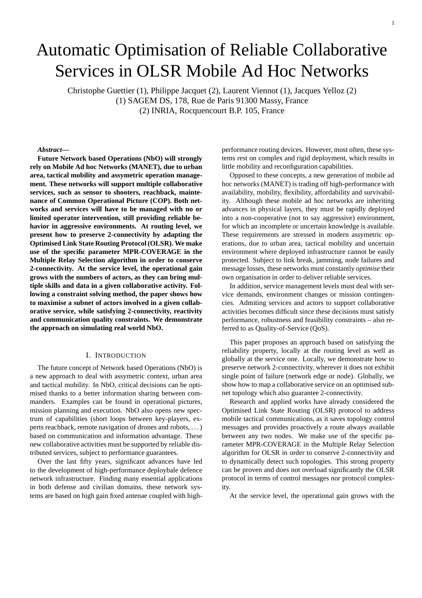# Automatic Optimisation of Reliable Collaborative Services in OLSR Mobile Ad Hoc Networks

Christophe Guettier (1), Philippe Jacquet (2), Laurent Viennot (1), Jacques Yelloz (2) (1) SAGEM DS, 178, Rue de Paris 91300 Massy, France (2) INRIA, Rocquencourt B.P. 105, France

#### *Abstract***—**

**Future Network based Operations (NbO) will strongly rely on Mobile Ad hoc Networks (MANET), due to urban area, tactical mobility and assymetric operation management. These networks will support multiple collaborative services, such as sensor to shooters, reachback, maintenance of Common Operational Picture (COP). Both networks and services will have to be managed with no or limited operator intervention, still providing reliable behavior in aggressive environments. At routing level, we present how to preserve 2-connectivity by adapting the Optimised Link State Routing Protocol(OLSR). We make use of the specific parameter MPR-COVERAGE in the Multiple Relay Selection algorithm in order to conserve 2-connectivity. At the service level, the operational gain grows with the numbers of actors, as they can bring multiple skills and data in a given collaborative activity. Following a constraint solving method, the paper shows how to maximise a subnet of actors involved in a given collaborative service, while satisfying 2-connectivity, reactivity and communication quality constraints. We demonstrate the approach on simulating real world NbO.**

#### I. INTRODUCTION

The future concept of Network based Operations (NbO) is a new approach to deal with assymetric context, urban area and tactical mobility. In NbO, critical decisions can be optimised thanks to a better information sharing between commanders. Examples can be found in operational pictures, mission planning and execution. NbO also opens new spectrum of capabilities (short loops between key-players, experts reachback, remote navigation of drones and robots, . . .) based on communication and information advantage. These new collaborative activities must be supported by reliable distributed services, subject to performance guarantees.

Over the last fifty years, significant advances have led to the development of high-performance deploybale defence network infrastructure. Finding many essential applications in both defense and civilian domains, these network systems are based on high gain fixed antenae coupled with highperformance routing devices. However, most often, these systems rest on complex and rigid deployment, which results in little mobility and reconfiguration capabilities.

Opposed to these concepts, a new generation of mobile ad hoc networks (MANET) is trading off high-performance with availability, mobility, flexibility, affordability and survivability. Although these mobile ad hoc networks are inheriting advances in physical layers, they must be rapidly deployed into a non-cooperative (not to say aggressive) environment, for which an incomplete or uncertain knowledge is available. These requirements are stressed in modern assymetric operations, due to urban area, tactical mobility and uncertain environment where deployed infrastructure cannot be easily protected. Subject to link break, jamming, node failures and message losses, these networks must constantly *optimise* their own organisation in order to deliver reliable services.

In addition, service management levels must deal with service demands, environment changes or mission contingencies. Admiting services and actors to support collaborative activities becomes difficult since these decisions must satisfy performance, robustness and feasibility constraints – also referred to as Quality-of-Service (QoS).

This paper proposes an approach based on satisfying the reliability property, locally at the routing level as well as globally at the service one. Locally, we demonstrate how to preserve network 2-connectivity, wherever it does not exhibit single point of failure (network edge or node). Globally, we show how to map a collaborative service on an optimised subnet topology which also guarantee 2-connectivity.

Research and applied works have already considered the Optimised Link State Routing (OLSR) protocol to address mobile tactical communications, as it saves topology control messages and provides proactively a route always available between any two nodes. We make use of the specific parameter MPR-COVERAGE in the Multiple Relay Selection algorithm for OLSR in order to conserve 2-connectivity and to dynamically detect such topologies. This strong property can be proven and does not overload significantly the OLSR protocol in terms of control messages nor protocol complexity.

At the service level, the operational gain grows with the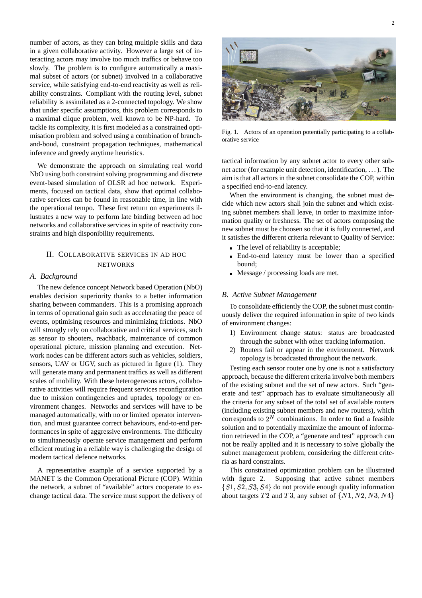number of actors, as they can bring multiple skills and data in a given collaborative activity. However a large set of interacting actors may involve too much traffics or behave too slowly. The problem is to configure automatically a maximal subset of actors (or subnet) involved in a collaborative service, while satisfying end-to-end reactivity as well as reliability constraints. Compliant with the routing level, subnet reliability is assimilated as a 2-connected topology. We show that under specific assumptions, this problem corresponds to a maximal clique problem, well known to be NP-hard. To tackle its complexity, it is first modeled as a constrained optimisation problem and solved using a combination of branchand-boud, constraint propagation techniques, mathematical inference and greedy anytime heuristics.

We demonstrate the approach on simulating real world NbO using both constraint solving programming and discrete event-based simulation of OLSR ad hoc network. Experiments, focused on tactical data, show that optimal collaborative services can be found in reasonable time, in line with the operational tempo. These first return on experiments illustrates a new way to perform late binding between ad hoc networks and collaborative services in spite of reactivity constraints and high disponibility requirements.

#### II. COLLABORATIVE SERVICES IN AD HOC NETWORKS

#### *A. Background*

The new defence concept Network based Operation (NbO) enables decision superiority thanks to a better information sharing between commanders. This is a promising approach in terms of operational gain such as accelerating the peace of events, optimising resources and minimizing frictions. NbO will strongly rely on collaborative and critical services, such as sensor to shooters, reachback, maintenance of common operational picture, mission planning and execution. Network nodes can be different actors such as vehicles, soldiers, sensors, UAV or UGV, such as pictured in figure (1). They will generate many and permanent traffics as well as different scales of mobility. With these heterogeneous actors, collaborative activities will require frequent services reconfiguration due to mission contingencies and uptades, topology or environment changes. Networks and services will have to be managed automatically, with no or limited operator intervention, and must guarantee correct behaviours, end-to-end performances in spite of aggressive environments. The difficulty to simultaneously operate service management and perform efficient routing in a reliable way is challenging the design of modern tactical defence networks.

A representative example of a service supported by a MANET is the Common Operational Picture (COP). Within the network, a subnet of "available" actors cooperate to exchange tactical data. The service must support the delivery of



Fig. 1. Actors of an operation potentially participating to a collaborative service

tactical information by any subnet actor to every other subnet actor (for example unit detection, identification, . . .). The aim is that all actors in the subnet consolidate the COP, within a specified end-to-end latency.

When the environment is changing, the subnet must decide which new actors shall join the subnet and which existing subnet members shall leave, in order to maximize information quality or freshness. The set of actors composing the new subnet must be choosen so that it is fully connected, and it satisfies the different criteria relevant to Quality of Service:

- The level of reliability is acceptable;
- End-to-end latency must be lower than a specified bound;
- Message / processing loads are met.

#### *B. Active Subnet Management*

To consolidate efficiently the COP, the subnet must continuously deliver the required information in spite of two kinds of environment changes:

- 1) Environment change status: status are broadcasted through the subnet with other tracking information.
- 2) Routers fail or appear in the environment. Network topology is broadcasted throughout the network.

Testing each sensor router one by one is not a satisfactory approach, because the different criteria involve both members of the existing subnet and the set of new actors. Such "generate and test" approach has to evaluate simultaneously all the criteria for any subset of the total set of available routers (including existing subnet members and new routers), which corresponds to  $2^N$  combinations. In order to find a feasible solution and to potentially maximize the amount of information retrieved in the COP, a "generate and test" approach can not be really applied and it is necessary to solve globally the subnet management problem, considering the different criteria as hard constraints.

This constrained optimization problem can be illustrated with figure 2. Supposing that active subnet members  $\{S1, S2, S3, S4\}$  do not provide enough quality information about targets  $T2$  and  $T3$ , any subset of  $\{N1, N2, N3, N4\}$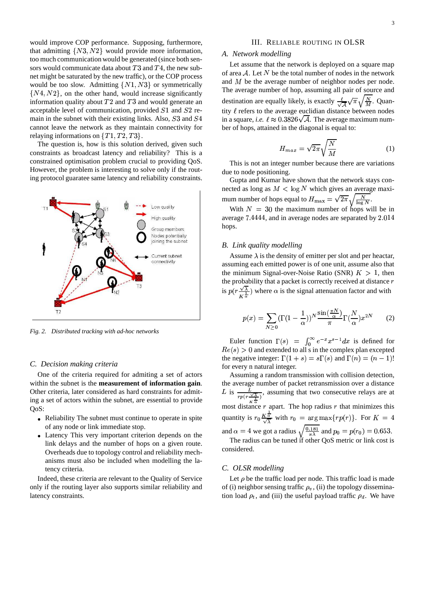would improve COP performance. Supposing, furthermore, that admitting  $\{N3, N2\}$  would provide more information, too much communication would be generated (since both sensors would communicate data about  $T3$  and  $T4$ , the new subnet might be saturated by the new traffic), or the COP process would be too slow. Admitting  $\{N1, N3\}$  or symmetrically  $\{N4, N2\}$ , on the other hand, would increase significantly information quality about  $T2$  and  $T3$  and would generate an acceptable level of communication, provided  $S1$  and  $S2$  remain in the subnet with their existing links. Also,  $S3$  and  $S4$ cannot leave the network as they maintain connectivity for relaying informations on  $\{T1, T2, T3\}$ .

The question is, how is this solution derived, given such constraints as broadcast latency and reliability? This is a constrained optimisation problem crucial to providing QoS. However, the problem is interesting to solve only if the routing protocol guaratee same latency and reliability constraints.



*Fig. 2. Distributed tracking with ad-hoc networks*

#### *C. Decision making criteria*

One of the criteria required for admiting a set of actors within the subnet is the **measurement of information gain**. Other criteria, later considered as hard constraints for admiting a set of actors within the subnet, are essential to provide OoS:

- Reliability The subnet must continue to operate in spite of any node or link immediate stop.
- Latency This very important criterion depends on the link delays and the number of hops on a given route. Overheads due to topology control and reliability mechanisms must also be included when modelling the latency criteria.

Indeed, these criteria are relevant to the Quality of Service only if the routing layer also supports similar reliability and latency constraints.

#### III. RELIABLE ROUTING IN OLSR

#### *A. Network modelling*

Let assume that the network is deployed on a square map of area  $A$ . Let  $N$  be the total number of nodes in the network and  $M$  be the average number of neighbor nodes per node. The average number of hop, assuming all pair of source and destination are equally likely, is exactly  $\frac{\ell}{\sqrt{A}}\sqrt{\pi}\sqrt{\frac{N}{M}}$ . Quantity  $\ell$  refers to the average euclidian distance between nodes in a square, *i.e.*  $\ell \approx 0.3826\sqrt{\mathcal{A}}$ . The average maximum number of hops, attained in the diagonal is equal to:

$$
H_{max} = \sqrt{2\pi} \sqrt{\frac{N}{M}} \tag{1}
$$

This is not an integer number because there are variations due to node positioning.

Gupta and Kumar have shown that the network stays connected as long as  $M < \log N$  which gives an average maximum number of hops equal to  $H_{\text{max}} = \sqrt{2\pi \sqrt{\frac{N}{\log N}}}$ . .

With  $N = 30$  the maximum number of hops will be in average 7.4444, and in average nodes are separated by 2.014 hops.

#### *B. Link quality modelling*

Assume  $\lambda$  is the density of emitter per slot and per heactar, assuming each emitted power is of one unit, assume also that the minimum Signal-over-Noise Ratio (SNR)  $K > 1$ , then the probability that a packet is correctly received at distance  $r$ is  $p(r \frac{\sqrt{\lambda}}{r^2})$  where  $\alpha$  is the signal attenuation factor and with

$$
p(x) = \sum_{N \ge 0} (\Gamma(1 - \frac{1}{\alpha}))^N \frac{\sin(\frac{\pi N}{\alpha})}{\pi} \Gamma(\frac{N}{\alpha}) x^{2N}
$$
 (2)

Euler function  $\Gamma(s) = \int_0^\infty e^{-x} x^{s-1} dx$ Euler function  $\Gamma(s) = \int_0^\infty e^{-x} x^{s-1} dx$  is defined for  $Re(s) > 0$  and extended to all s in the complex plan excepted the negative integer:  $\Gamma(1 + s) = s\Gamma(s)$  and  $\Gamma(n) = (n - 1)!$ for every n natural integer.

Assuming a random transmission with collision detection, the average number of packet retransmission over a distance L is  $\frac{L}{rp(r\frac{\sqrt{\lambda}}{r})}$ , assuming that two consecutive relays are at most distance  $r$  apart. The hop radius  $r$  that minimizes this quantity is  $r_0 \frac{K\overline{\alpha}}{\sqrt{\lambda}}$  with  $r_0 = \arg \max\{rp(r)\}\$ . For  $K = 4$ and  $\alpha = 4$  we got a radius  $\sqrt{\frac{0.181}{\pi \lambda}}$  and  $p_0 = p(r_0) = 0.653$ .

The radius can be tuned if other QoS metric or link cost is considered.

#### *C. OLSR modelling*

Let  $\rho$  be the traffic load per node. This traffic load is made of (i) neighbor sensing traffic  $\rho_v$ , (ii) the topology dissemination load  $\rho_t$ , and (iii) the useful payload traffic  $\rho_d$ . We have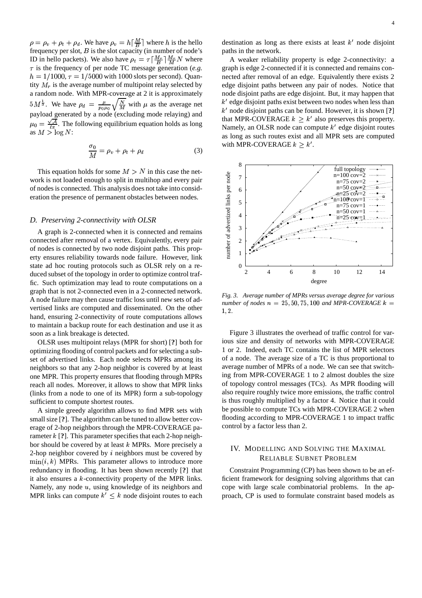$\rho = \rho_v + \rho_t + \rho_d$ . We have  $\rho_v = h\left[\frac{M}{B}\right]$  where h is the hello frequency per slot,  $B$  is the slot capacity (in number of node's ID in hello packets). We also have  $\rho_t = \tau \left[\frac{M_r}{R}\right] \frac{M_r}{M} N$  where A  $\tau$  is the frequency of per node TC message generation (*e.g.*  $h = 1/1000$ ,  $\tau = 1/5000$  with 1000 slots per second). Quantity  $M_r$  is the average number of multipoint relay selected by a random node. With MPR-coverage at 2 it is approximately  $5M^{\frac{1}{3}}$ . We have  $\rho_d = \frac{\mu}{\Gamma} \sqrt{\frac{N}{M}}$  with  $\mu$  as the average net payload generated by a node (excluding mode relaying) and  $u_0 = \frac{\sqrt{A}}{A}$ . The followi  $\frac{\sqrt{A}}{\epsilon \pi}$ . The following equilibrium equation holds as long as  $M > \log N$ :

$$
\frac{\sigma_0}{M} = \rho_v + \rho_t + \rho_d \tag{3}
$$

This equation holds for some  $M > N$  in this case the network is not loaded enough to split in multihop and every pair of nodesis connected. This analysis does not take into consideration the presence of permanent obstacles between nodes.

#### *D. Preserving 2-connectivity with OLSR*

A graph is 2-connected when it is connected and remains connected after removal of a vertex. Equivalently, every pair of nodes is connected by two node disjoint paths. This property ensures reliability towards node failure. However, link state ad hoc routing protocols such as OLSR rely on a reduced subset of the topology in order to optimize control traffic. Such optimization may lead to route computations on a graph that is not 2-connected even in a 2-connected network. A node failure may then cause traffic loss until new sets of advertised links are computed and disseminated. On the other hand, ensuring 2-connectivity of route computations allows to maintain a backup route for each destination and use it as soon as a link breakage is detected.

OLSR uses multipoint relays (MPR for short) [**?**] both for optimizing flooding of control packets and forselecting a subset of advertised links. Each node selects MPRs among its neighbors so that any 2-hop neighbor is covered by at least one MPR. This property ensures that flooding through MPRs reach all nodes. Moreover, it allows to show that MPR links (links from a node to one of its MPR) form a sub-topology sufficient to compute shortest routes.

A simple greedy algorithm allows to find MPR sets with small size [**?**]. The algorithm can be tuned to allow better coverage of 2-hop neighbors through the MPR-COVERAGE parameter  $k$  [?]. This parameter specifies that each 2-hop neighbor should be covered by at least  $k$  MPRs. More precisely a 2-hop neighbor covered by  $i$  neighbors must be covered by  $\min(i, k)$  MPRs. This parameter allows to introduce more @ redundancy in flooding. It has been shown recently [**?**] that it also ensures a  $k$ -connectivity property of the MPR links. Namely, any node  $u$ , using knowledge of its neighbors and MPR links can compute  $k' \leq k$  node disjoint routes to each destination as long as there exists at least  $k'$  node disjoint paths in the network.

A weaker reliability property is edge 2-connectivity: a graph is edge 2-connected if it is connected and remains connected after removal of an edge. Equivalently there exists 2 edge disjoint paths between any pair of nodes. Notice that node disjoint paths are edge disjoint. But, it may happen that  $k'$  edge disjoint paths exist between two nodes when less than node disjoint paths can be found. However, it is shown [**?**] that MPR-COVERAGE  $k > k'$  also preserves this property. Namely, an OLSR node can compute  $k'$  edge disjoint routes as long as such routes exist and all MPR sets are computed with MPR-COVERAGE  $k > k'$ .



*Fig. 3. Average number of MPRs versus average degree for various number* of *nodes*  $n = 25, 50, 75, 100$  *and MPR-COVERAGE*  $k =$ 1, 2.

Figure 3 illustrates the overhead of traffic control for various size and density of networks with MPR-COVERAGE 1 or 2. Indeed, each TC contains the list of MPR selectors of a node. The average size of a TC is thus proportional to average number of MPRs of a node. We can see that switching from MPR-COVERAGE 1 to 2 almost doubles the size of topology control messages (TCs). As MPR flooding will also require roughly twice more emissions, the traffic control is thus roughly multiplied by a factor 4. Notice that it could be possible to compute TCs with MPR-COVERAGE 2 when flooding according to MPR-COVERAGE 1 to impact traffic control by a factor less than 2.

#### IV. MODELLING AND SOLVING THE MAXIMAL RELIABLE SUBNET PROBLEM

Constraint Programming (CP) has been shown to be an efficient framework for designing solving algorithms that can cope with large scale combinatorial problems. In the approach, CP is used to formulate constraint based models as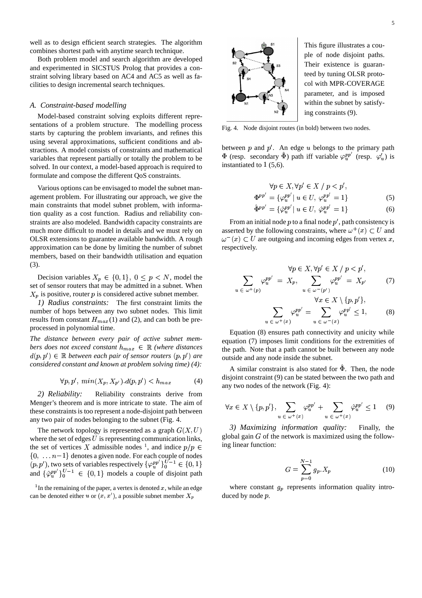well as to design efficient search strategies. The algorithm combines shortest path with anytime search technique.

Both problem model and search algorithm are developed and experimented in SICSTUS Prolog that provides a constraint solving library based on AC4 and AC5 as well as facilities to design incremental search techniques.

#### *A. Constraint-based modelling*

Model-based constraint solving exploits different representations of a problem structure. The modelling process starts by capturing the problem invariants, and refines this using several approximations, sufficient conditions and abstractions. A model consists of constraints and mathematical variables that represent partially or totally the problem to be solved. In our context, a model-based approach is required to formulate and compose the different QoS constraints.

Various options can be envisaged to model the subnet management problem. For illustrating our approach, we give the main constraints that model subnet problem, with information quality as a cost function. Radius and reliability constraints are also modeled. Bandwidth capacity constraints are much more difficult to model in details and we must rely on OLSR extensions to guarantee available bandwidth. A rough approximation can be done by limiting the number of subnet members, based on their bandwidth utilisation and equation (3).

Decision variables  $X_p \in \{0, 1\}$ ,  $0 \leq p \leq N$ , model the set of sensor routers that may be admitted in a subnet. When  $X_p$  is positive, router p is considered active subnet member.

*1) Radius constraints:* The first constraint limits the number of hops between any two subnet nodes. This limit results from constant  $H_{max}(1)$  and (2), and can both be preprocessed in polynomial time.

*The distance between every pair of active subnet members does not exceed constant*  $h_{max} \in \mathbb{R}$  *(where distances*  $d(p, p') \in \mathbb{R}$  between each pair of sensor routers  $(p, p')$  are @ *considered constant and known at problem solving time) (4):*

$$
\forall p, p', \ min(X_p, X_{p'}) \ldotp d(p, p') < h_{max} \tag{4}
$$

*2) Reliability:* Reliability constraints derive from Menger's theorem and is more intricate to state. The aim of these constraints is too represent a node-disjoint path between any two pair of nodes belonging to the subnet (Fig. 4.

The network topology is represented as a graph  $G(X, U)$ where the set of edges  $U$  is representing communication links, the set of vertices X admissible nodes <sup>1</sup>, and indice  $p/p \in$  <sup>1ng</sup>  $\{0, \ldots n-1\}$  denotes a given node. For each couple of nodes  $(p, p')$ , two sets of variables respectively  $\{\varphi_u^{pp'}\}_{0}^{U-1} \in \{0, 1\}$ and  $\{\hat{\varphi}_u^{pp'}\}_{0}^{U-1} \in \{0,1\}$  models a couple of disjoint path

<sup>1</sup> In the remaining of the paper, a vertex is denoted  $x$ , while an edge can be denoted either u or  $(x, x')$ , a possible subnet member  $X_p$ 

This figure illustrates a couple of node disjoint paths. Their existence is guaranteed by tuning OLSR protocol with MPR-COVERAGE parameter, and is imposed within the subnet by satisfying constraints (9).

Fig. 4. Node disjoint routes (in bold) between two nodes.

between  $p$  and  $p'$ . An edge  $u$  belongs to the primary path  $\Phi$  (resp. secondary  $\hat{\Phi}$ ) path iff variable  $\varphi_u^{pp'}$  (resp.  $\varphi_u'$ ) is instantiated to  $1(5,6)$ .

$$
\forall p \in X, \forall p' \in X / p < p',
$$
  
\n
$$
\Phi^{pp'} = {\varphi_u^{pp'} | u \in U, \varphi_u^{pp'} = 1}
$$
\n(5)

$$
\hat{\Phi}^{pp'} = \{ \hat{\varphi}_u^{pp'} | \ u \in U, \ \hat{\varphi}_u^{pp'} = 1 \}
$$
 (6)

From an initial node  $p$  to a final node  $p'$ , path consistency is asserted by the following constraints, where  $\omega^+(x) \subset U$  and  $\omega^-(x) \subset U$  are outgoing and incoming edges from vertex x, respectively.

$$
\forall p \in X, \forall p' \in X \mid p < p',
$$
\n
$$
\sum_{u \in \omega^+(p)} \varphi_u^{pp'} = X_p, \quad \sum_{u \in \omega^-(p')} \varphi_u^{pp'} = X_{p'} \tag{7}
$$
\n
$$
\forall x \in X \setminus \{p, p'\},
$$

$$
\sum_{u \in \omega^{+}(x)} \varphi_{u}^{pp'} = \sum_{u \in \omega^{-}(x)} \varphi_{u}^{pp'} \le 1, \qquad (8)
$$

Equation (8) ensures path connectivity and unicity while equation (7) imposes limit conditions for the extremities of the path. Note that a path cannot be built between any node outside and any node inside the subnet.

A similar constraint is also stated for  $\hat{\Phi}$ . Then, the node disjoint constraint (9) can be stated between the two path and any two nodes of the network (Fig. 4):

$$
\forall x \in X \setminus \{p, p'\}, \sum_{u \in \omega^+(x)} \varphi_u^{pp'} + \sum_{u \in \omega^+(x)} \hat{\varphi}_u^{pp'} \le 1 \quad (9)
$$

*3) Maximizing information quality:* Finally, the global gain  $G$  of the network is maximized using the following linear function:

$$
G = \sum_{p=0}^{N-1} g_p X_p \tag{10}
$$

where constant  $g_p$  represents information quality introduced by node  $p$ .

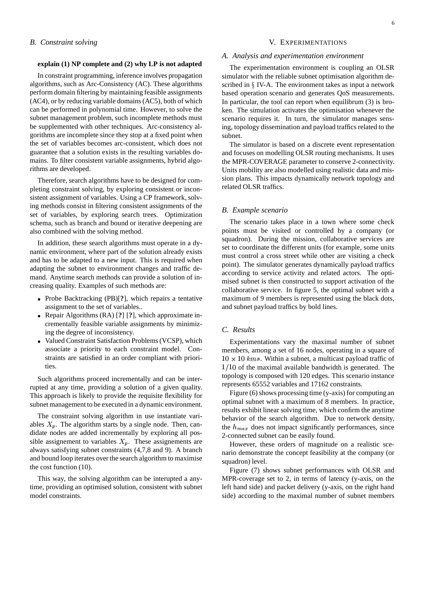#### **explain (1) NP complete and (2) why LP is not adapted**

In constraint programming, inference involves propagation algorithms, such as Arc-Consistency (AC). These algorithms perform domain filtering by maintaining feasible assignments (AC4), or by reducing variable domains (AC5), both of which can be performed in polynomial time. However, to solve the subnet management problem, such incomplete methods must be supplemented with other techniques. Arc-consistency algorithms are incomplete since they stop at a fixed point when the set of variables becomes arc-consistent, which does not guarantee that a solution exists in the resulting variables domains. To filter consistent variable assignments, hybrid algorithms are developed.

Therefore, search algorithms have to be designed for completing constraint solving, by exploring consistent or inconsistent assignment of variables. Using a CP framework, solving methods consist in filtering consistent assignments of the set of variables, by exploring search trees. Optimization schema, such as branch and bound or iterative deepening are also combined with the solving method.

In addition, these search algorithms must operate in a dynamic environment, where part of the solution already exists and has to be adapted to a new input. This is required when adapting the subnet to environment changes and traffic demand. Anytime search methods can provide a solution of increasing quality. Examples of such methods are:

- Probe Backtracking (PB)[**?**], which repairs a tentative assignment to the set of variables..
- Repair Algorithms (RA) [**?**] [**?**], which approximate incrementally feasible variable assignments by minimizing the degree of inconsistency.
- Valued Constraint Satisfaction Problems(VCSP), which associate a priority to each constraint model. Constraints are satisfied in an order compliant with priorities.

Such algorithms proceed incrementally and can be interrupted at any time, providing a solution of a given quality. This approach is likely to provide the requisite flexibility for subnet management to be executed in a dynamic environment.

The constraint solving algorithm in use instantiate variables  $X_n$ . The algorithm starts by a single node. Then, candidate nodes are added incrementally by exploring all possible assignement to variables  $X_p$ . These assignements are always satisfying subnet constraints (4,7,8 and 9). A branch and bound loop iterates over the search algorithm to maximise the cost function (10).

This way, the solving algorithm can be interupted a anytime, providing an optimised solution, consistent with subnet model constraints.

#### V. EXPERIMENTATIONS

#### *A. Analysis and experimentation environment*

The experimentation environment is coupling an OLSR simulator with the reliable subnet optimisation algorithm described in  $\S$  IV-A. The environment takes as input a network based operation scenario and generates QoS measurements. In particular, the tool can report when equilibrum (3) is broken. The simulation activates the optimisation whenever the scenario requires it. In turn, the simulator manages sensing, topology dissemination and payload traffics related to the subnet.

The simulator is based on a discrete event representation and focuses on modelling OLSR routing mechanisms. It uses the MPR-COVERAGE parameter to conserve 2-connectivity. Units mobility are also modelled using realistic data and mission plans. This impacts dynamically network topology and related OLSR traffics.

#### *B. Example scenario*

The scenario takes place in a town where some check points must be visited or controlled by a company (or squadron). During the mission, collaborative services are set to coordinate the different units (for example, some units must control a cross street while other are visiting a check point). The simulator generates dynamically payload traffics according to service activity and related actors. The optimised subnet is then constructed to support activation of the collaborative service. In figure 5, the optimal subnet with a maximum of 9 members is represented using the black dots, and subnet payload traffics by bold lines.

#### *C. Results*

Experimentations vary the maximal number of subnet members, among a set of 16 nodes, operating in a square of  $10 \times 10$  kms. Within a subnet, a multicast payload traffic of  $1/10$  of the maximal available bandwidth is generated. The topology is composed with 120 edges. This scenario instance represents 65552 variables and 17162 constraints.

Figure (6) shows processing time (y-axis) for computing an optimal subnet with a maximum of 8 members. In practice, results exhibit linear solving time, which confirm the anytime behavior of the search algorithm. Due to network density, the  $h_{max}$  does not impact significantly performances, since 2-connected subnet can be easily found.

However, these orders of magnitude on a realistic scenario demonstrate the concept feasibility at the company (or squadron) level.

Figure (7) shows subnet performances with OLSR and MPR-coverage set to 2, in terms of latency (y-axis, on the left hand side) and packet delivery (y-axis, on the right hand side) according to the maximal number of subnet members